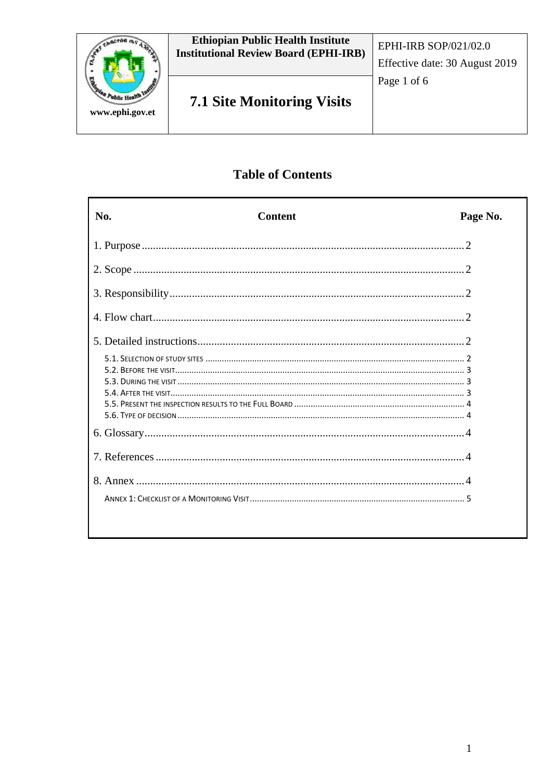

# **Table of Contents**

| No. | <b>Content</b> | Page No. |
|-----|----------------|----------|
|     |                |          |
|     |                |          |
|     |                |          |
|     |                |          |
|     |                |          |
|     |                |          |
|     |                |          |
|     |                |          |
|     |                |          |
|     |                |          |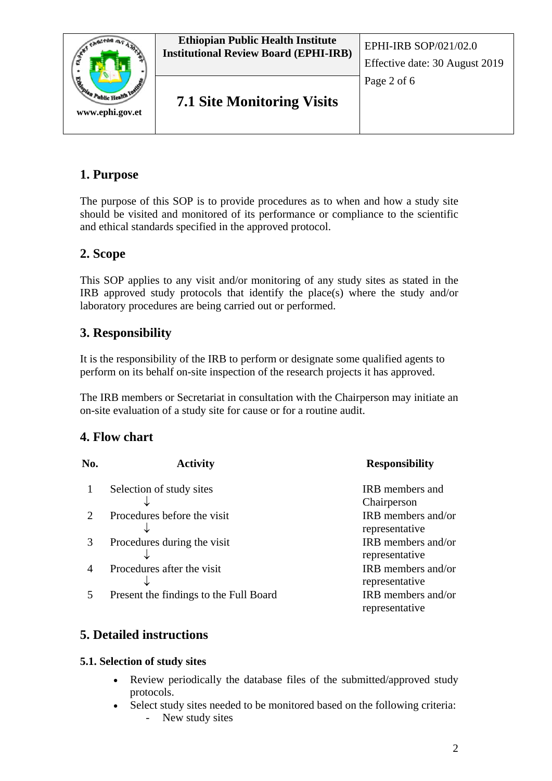

# **1. Purpose**

The purpose of this SOP is to provide procedures as to when and how a study site should be visited and monitored of its performance or compliance to the scientific and ethical standards specified in the approved protocol.

## **2. Scope**

This SOP applies to any visit and/or monitoring of any study sites as stated in the IRB approved study protocols that identify the place(s) where the study and/or laboratory procedures are being carried out or performed.

## **3. Responsibility**

It is the responsibility of the IRB to perform or designate some qualified agents to perform on its behalf on-site inspection of the research projects it has approved.

The IRB members or Secretariat in consultation with the Chairperson may initiate an on-site evaluation of a study site for cause or for a routine audit.

## **4. Flow chart**

| No.                         | <b>Activity</b>                        | <b>Responsibility</b>                 |
|-----------------------------|----------------------------------------|---------------------------------------|
|                             | Selection of study sites               | <b>IRB</b> members and<br>Chairperson |
| $\mathcal{D}_{\mathcal{L}}$ | Procedures before the visit            | IRB members and/or<br>representative  |
|                             | Procedures during the visit            | IRB members and/or<br>representative  |
|                             | Procedures after the visit             | IRB members and/or<br>representative  |
|                             | Present the findings to the Full Board | IRB members and/or<br>representative  |

# **5. Detailed instructions**

## **5.1. Selection of study sites**

- Review periodically the database files of the submitted/approved study protocols.
- Select study sites needed to be monitored based on the following criteria: New study sites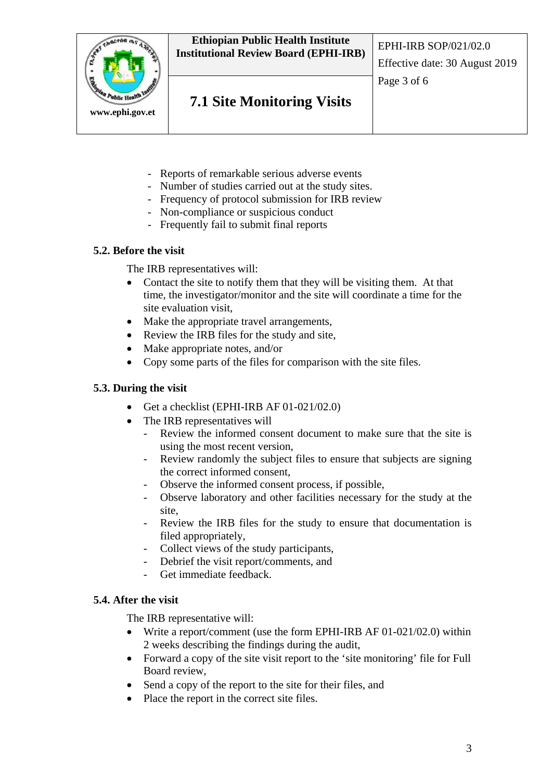

- Reports of remarkable serious adverse events
- Number of studies carried out at the study sites.
- Frequency of protocol submission for IRB review
- Non-compliance or suspicious conduct
- Frequently fail to submit final reports

#### **5.2. Before the visit**

The IRB representatives will:

- Contact the site to notify them that they will be visiting them. At that time, the investigator/monitor and the site will coordinate a time for the site evaluation visit,
- Make the appropriate travel arrangements,
- Review the IRB files for the study and site,
- Make appropriate notes, and/or
- Copy some parts of the files for comparison with the site files.

#### **5.3. During the visit**

- Get a checklist (EPHI-IRB AF 01-021/02.0)
- The IRB representatives will
	- Review the informed consent document to make sure that the site is using the most recent version,
	- Review randomly the subject files to ensure that subjects are signing the correct informed consent,
	- Observe the informed consent process, if possible,
	- Observe laboratory and other facilities necessary for the study at the site,
	- Review the IRB files for the study to ensure that documentation is filed appropriately,
	- Collect views of the study participants,
	- Debrief the visit report/comments, and
	- Get immediate feedback.

#### **5.4. After the visit**

The IRB representative will:

- Write a report/comment (use the form EPHI-IRB AF 01-021/02.0) within 2 weeks describing the findings during the audit,
- Forward a copy of the site visit report to the 'site monitoring' file for Full Board review,
- Send a copy of the report to the site for their files, and
- Place the report in the correct site files.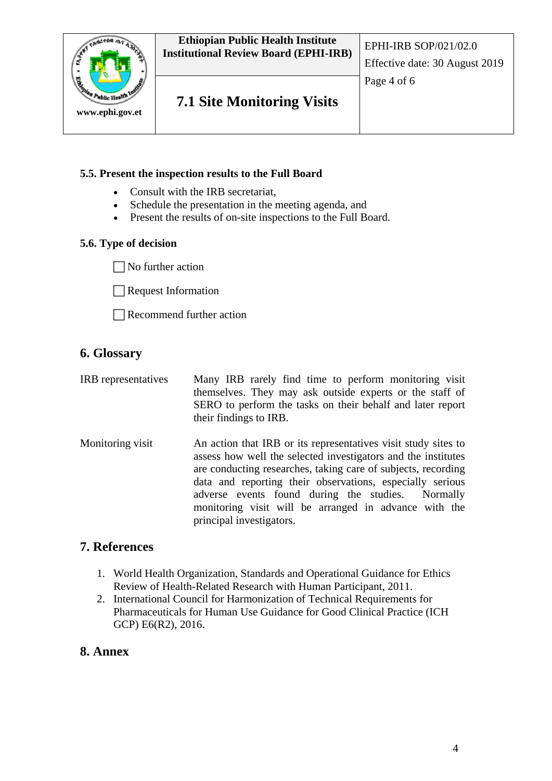

#### **5.5. Present the inspection results to the Full Board**

- Consult with the IRB secretariat,
- Schedule the presentation in the meeting agenda, and
- Present the results of on-site inspections to the Full Board.

#### **5.6. Type of decision**

 $\Box$  No further action

Request Information

Recommend further action

## **6. Glossary**

| IRB representatives | Many IRB rarely find time to perform monitoring visit<br>themselves. They may ask outside experts or the staff of<br>SERO to perform the tasks on their behalf and later report<br>their findings to IRB.                                                                                                                                                                                               |  |
|---------------------|---------------------------------------------------------------------------------------------------------------------------------------------------------------------------------------------------------------------------------------------------------------------------------------------------------------------------------------------------------------------------------------------------------|--|
| Monitoring visit    | An action that IRB or its representatives visit study sites to<br>assess how well the selected investigators and the institutes<br>are conducting researches, taking care of subjects, recording<br>data and reporting their observations, especially serious<br>adverse events found during the studies. Normally<br>monitoring visit will be arranged in advance with the<br>principal investigators. |  |

## **7. References**

- 1. World Health Organization, Standards and Operational Guidance for Ethics Review of Health-Related Research with Human Participant, 2011.
- 2. International Council for Harmonization of Technical Requirements for Pharmaceuticals for Human Use Guidance for Good Clinical Practice (ICH GCP) E6(R2), 2016.

## **8. Annex**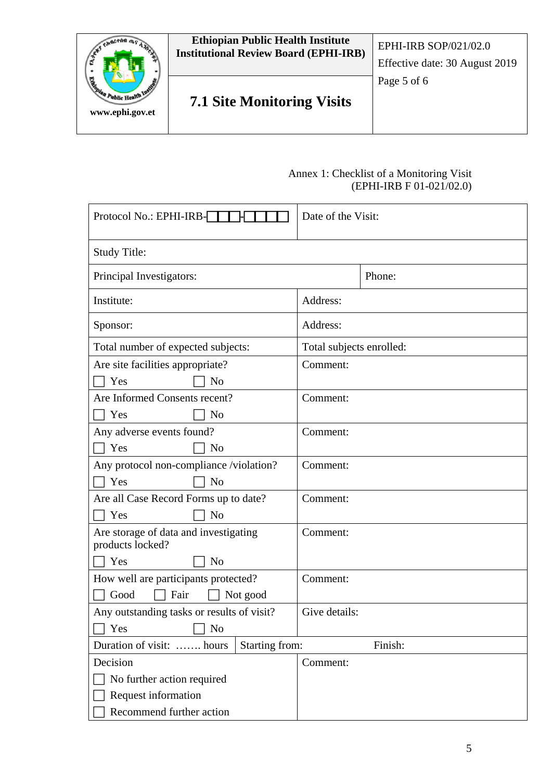

#### Annex 1: Checklist of a Monitoring Visit (EPHI-IRB F 01-021/02.0)

| Protocol No.: EPHI-IRB-                                   | Date of the Visit:       |         |  |
|-----------------------------------------------------------|--------------------------|---------|--|
| <b>Study Title:</b>                                       |                          |         |  |
| Principal Investigators:                                  |                          | Phone:  |  |
| Institute:                                                | Address:                 |         |  |
| Sponsor:                                                  | Address:                 |         |  |
| Total number of expected subjects:                        | Total subjects enrolled: |         |  |
| Are site facilities appropriate?                          | Comment:                 |         |  |
| Yes<br>N <sub>o</sub>                                     |                          |         |  |
| Are Informed Consents recent?                             | Comment:                 |         |  |
| Yes<br>N <sub>o</sub>                                     |                          |         |  |
| Any adverse events found?                                 | Comment:                 |         |  |
| Yes<br>N <sub>o</sub>                                     |                          |         |  |
| Any protocol non-compliance /violation?                   | Comment:                 |         |  |
| Yes<br>N <sub>o</sub>                                     |                          |         |  |
| Are all Case Record Forms up to date?                     | Comment:                 |         |  |
| Yes<br>N <sub>o</sub>                                     |                          |         |  |
| Are storage of data and investigating<br>products locked? | Comment:                 |         |  |
| Yes<br>N <sub>o</sub>                                     |                          |         |  |
| How well are participants protected?                      | Comment:                 |         |  |
| Good<br>Fair<br>Not good                                  |                          |         |  |
| Any outstanding tasks or results of visit?                | Give details:            |         |  |
| Yes<br>No                                                 |                          |         |  |
| Starting from:<br>Duration of visit:  hours               |                          | Finish: |  |
| Decision                                                  | Comment:                 |         |  |
| No further action required                                |                          |         |  |
| Request information                                       |                          |         |  |
| Recommend further action                                  |                          |         |  |